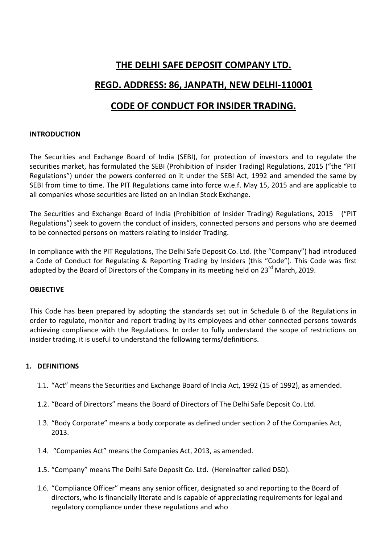# **THE DELHI SAFE DEPOSIT COMPANY LTD.**

## **REGD. ADDRESS: 86, JANPATH, NEW DELHI-110001**

# **CODE OF CONDUCT FOR INSIDER TRADING.**

### **INTRODUCTION**

The Securities and Exchange Board of India (SEBI), for protection of investors and to regulate the securities market, has formulated the SEBI (Prohibition of Insider Trading) Regulations, 2015 ("the "PIT Regulations") under the powers conferred on it under the SEBI Act, 1992 and amended the same by SEBI from time to time. The PIT Regulations came into force w.e.f. May 15, 2015 and are applicable to all companies whose securities are listed on an Indian Stock Exchange.

The Securities and Exchange Board of India (Prohibition of Insider Trading) Regulations, 2015 ("PIT Regulations") seek to govern the conduct of insiders, connected persons and persons who are deemed to be connected persons on matters relating to Insider Trading.

In compliance with the PIT Regulations, The Delhi Safe Deposit Co. Ltd. (the "Company") had introduced a Code of Conduct for Regulating & Reporting Trading by Insiders (this "Code"). This Code was first adopted by the Board of Directors of the Company in its meeting held on  $23^{rd}$  March, 2019.

### **OBJECTIVE**

This Code has been prepared by adopting the standards set out in Schedule B of the Regulations in order to regulate, monitor and report trading by its employees and other connected persons towards achieving compliance with the Regulations. In order to fully understand the scope of restrictions on insider trading, it is useful to understand the following terms/definitions.

### **1. DEFINITIONS**

- 1.1. "Act" means the Securities and Exchange Board of India Act, 1992 (15 of 1992), as amended.
- 1.2. "Board of Directors" means the Board of Directors of The Delhi Safe Deposit Co. Ltd.
- 1.3. "Body Corporate" means a body corporate as defined under section 2 of the Companies Act, 2013.
- 1.4. "Companies Act" means the Companies Act, 2013, as amended.
- 1.5. "Company" means The Delhi Safe Deposit Co. Ltd. (Hereinafter called DSD).
- 1.6. "Compliance Officer" means any senior officer, designated so and reporting to the Board of directors, who is financially literate and is capable of appreciating requirements for legal and regulatory compliance under these regulations and who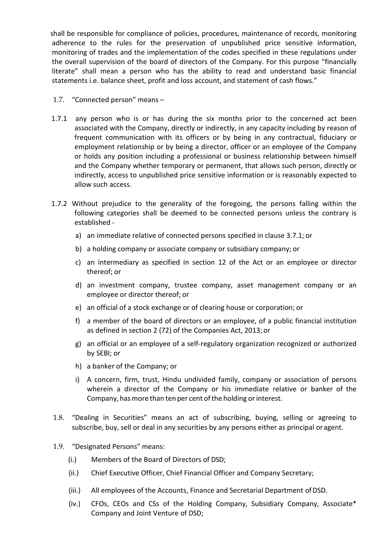shall be responsible for compliance of policies, procedures, maintenance of records, monitoring adherence to the rules for the preservation of unpublished price sensitive information, monitoring of trades and the implementation of the codes specified in these regulations under the overall supervision of the board of directors of the Company. For this purpose "financially literate" shall mean a person who has the ability to read and understand basic financial statements i.e. balance sheet, profit and loss account, and statement of cash flows."

- 1.7. "Connected person" means –
- 1.7.1 any person who is or has during the six months prior to the concerned act been associated with the Company, directly or indirectly, in any capacity including by reason of frequent communication with its officers or by being in any contractual, fiduciary or employment relationship or by being a director, officer or an employee of the Company or holds any position including a professional or business relationship between himself and the Company whether temporary or permanent, that allows such person, directly or indirectly, access to unpublished price sensitive information or is reasonably expected to allow such access.
- 1.7.2 Without prejudice to the generality of the foregoing, the persons falling within the following categories shall be deemed to be connected persons unless the contrary is established
	- a) an immediate relative of connected persons specified in clause 3.7.1; or
	- b) a holding company or associate company or subsidiary company; or
	- c) an intermediary as specified in section 12 of the Act or an employee or director thereof; or
	- d) an investment company, trustee company, asset management company or an employee or director thereof; or
	- e) an official of a stock exchange or of clearing house or corporation; or
	- f) a member of the board of directors or an employee, of a public financial institution as defined in section 2 (72) of the Companies Act, 2013; or
	- g) an official or an employee of a self-regulatory organization recognized or authorized by SEBI; or
	- h) a banker of the Company; or
	- i) A concern, firm, trust, Hindu undivided family, company or association of persons wherein a director of the Company or his immediate relative or banker of the Company, has more than ten per cent of the holding or interest.
- 1.8. "Dealing in Securities" means an act of subscribing, buying, selling or agreeing to subscribe, buy, sell or deal in any securities by any persons either as principal oragent.
- 1.9. "Designated Persons" means:
	- (i.) Members of the Board of Directors of DSD;
	- (ii.) Chief Executive Officer, Chief Financial Officer and Company Secretary;
	- (iii.) All employees of the Accounts, Finance and Secretarial Department ofDSD.
	- (iv.) CFOs, CEOs and CSs of the Holding Company, Subsidiary Company, Associate\* Company and Joint Venture of DSD;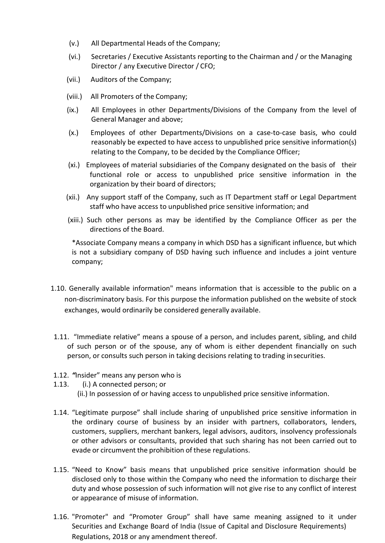- (v.) All Departmental Heads of the Company;
- (vi.) Secretaries / Executive Assistants reporting to the Chairman and / or the Managing Director / any Executive Director / CFO;
- (vii.) Auditors of the Company;
- (viii.) All Promoters of the Company;
- (ix.) All Employees in other Departments/Divisions of the Company from the level of General Manager and above;
- (x.) Employees of other Departments/Divisions on a case-to-case basis, who could reasonably be expected to have access to unpublished price sensitive information(s) relating to the Company, to be decided by the Compliance Officer;
- (xi.) Employees of material subsidiaries of the Company designated on the basis of their functional role or access to unpublished price sensitive information in the organization by their board of directors;
- (xii.) Any support staff of the Company, such as IT Department staff or Legal Department staff who have access to unpublished price sensitive information; and
- (xiii.) Such other persons as may be identified by the Compliance Officer as per the directions of the Board.

\*Associate Company means a company in which DSD has a significant influence, but which is not a subsidiary company of DSD having such influence and includes a joint venture company;

- 1.10. Generally available information" means information that is accessible to the public on a non-discriminatory basis. For this purpose the information published on the website of stock exchanges, would ordinarily be considered generally available.
- 1.11. "Immediate relative" means a spouse of a person, and includes parent, sibling, and child of such person or of the spouse, any of whom is either dependent financially on such person, or consults such person in taking decisions relating to trading insecurities.
- 1.12. *"*Insider" means any person who is
- 1.13. (i.) A connected person; or (ii.) In possession of or having access to unpublished price sensitive information.
- 1.14. "Legitimate purpose" shall include sharing of unpublished price sensitive information in the ordinary course of business by an insider with partners, collaborators, lenders, customers, suppliers, merchant bankers, legal advisors, auditors, insolvency professionals or other advisors or consultants, provided that such sharing has not been carried out to evade or circumvent the prohibition of these regulations.
- 1.15. "Need to Know" basis means that unpublished price sensitive information should be disclosed only to those within the Company who need the information to discharge their duty and whose possession of such information will not give rise to any conflict of interest or appearance of misuse of information.
- 1.16. "Promoter" and "Promoter Group" shall have same meaning assigned to it under Securities and Exchange Board of India (Issue of Capital and Disclosure Requirements) Regulations, 2018 or any amendment thereof.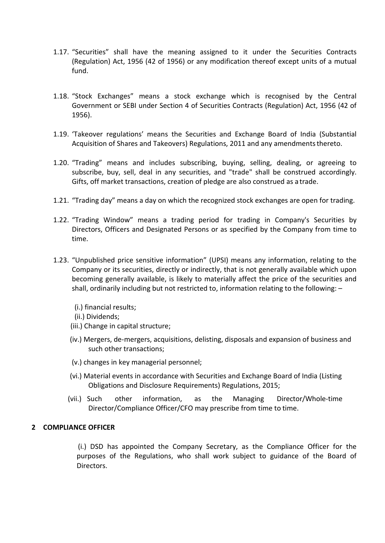- 1.17. "Securities" shall have the meaning assigned to it under the Securities Contracts (Regulation) Act, 1956 (42 of 1956) or any modification thereof except units of a mutual fund.
- 1.18. "Stock Exchanges" means a stock exchange which is recognised by the Central Government or SEBI under Section 4 of Securities Contracts (Regulation) Act, 1956 (42 of 1956).
- 1.19. 'Takeover regulations' means the Securities and Exchange Board of India (Substantial Acquisition of Shares and Takeovers) Regulations, 2011 and any amendmentsthereto.
- 1.20. "Trading" means and includes subscribing, buying, selling, dealing, or agreeing to subscribe, buy, sell, deal in any securities, and "trade" shall be construed accordingly. Gifts, off market transactions, creation of pledge are also construed as a trade.
- 1.21. "Trading day" means a day on which the recognized stock exchanges are open for trading.
- 1.22. "Trading Window" means a trading period for trading in Company's Securities by Directors, Officers and Designated Persons or as specified by the Company from time to time.
- 1.23. "Unpublished price sensitive information" (UPSI) means any information, relating to the Company or its securities, directly or indirectly, that is not generally available which upon becoming generally available, is likely to materially affect the price of the securities and shall, ordinarily including but not restricted to, information relating to the following: –
	- (i.) financial results;
	- (ii.) Dividends;
	- (iii.) Change in capital structure;
	- (iv.) Mergers, de-mergers, acquisitions, delisting, disposals and expansion of business and such other transactions;
	- (v.) changes in key managerial personnel;
	- (vi.) Material events in accordance with Securities and Exchange Board of India (Listing Obligations and Disclosure Requirements) Regulations, 2015;
	- (vii.) Such other information, as the Managing Director/Whole-time Director/Compliance Officer/CFO may prescribe from time to time.

### **2 COMPLIANCE OFFICER**

 (i.) DSD has appointed the Company Secretary, as the Compliance Officer for the purposes of the Regulations, who shall work subject to guidance of the Board of Directors.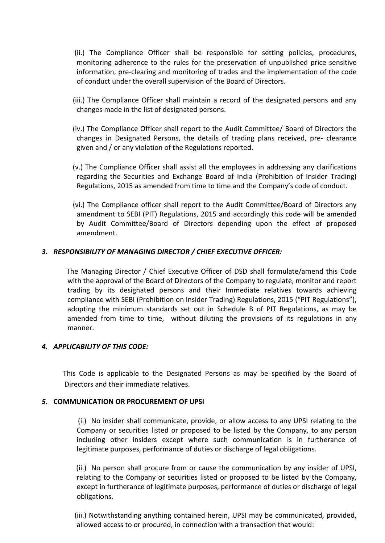- (ii.) The Compliance Officer shall be responsible for setting policies, procedures, monitoring adherence to the rules for the preservation of unpublished price sensitive information, pre-clearing and monitoring of trades and the implementation of the code of conduct under the overall supervision of the Board of Directors.
- (iii.) The Compliance Officer shall maintain a record of the designated persons and any changes made in the list of designated persons.
- (iv.) The Compliance Officer shall report to the Audit Committee/ Board of Directors the changes in Designated Persons, the details of trading plans received, pre- clearance given and / or any violation of the Regulations reported.
- (v.) The Compliance Officer shall assist all the employees in addressing any clarifications regarding the Securities and Exchange Board of India (Prohibition of Insider Trading) Regulations, 2015 as amended from time to time and the Company's code of conduct.
- (vi.) The Compliance officer shall report to the Audit Committee/Board of Directors any amendment to SEBI (PIT) Regulations, 2015 and accordingly this code will be amended by Audit Committee/Board of Directors depending upon the effect of proposed amendment.

### *3. RESPONSIBILITY OF MANAGING DIRECTOR / CHIEF EXECUTIVE OFFICER:*

The Managing Director / Chief Executive Officer of DSD shall formulate/amend this Code with the approval of the Board of Directors of the Company to regulate, monitor and report trading by its designated persons and their Immediate relatives towards achieving compliance with SEBI (Prohibition on Insider Trading) Regulations, 2015 ("PIT Regulations"), adopting the minimum standards set out in Schedule B of PIT Regulations, as may be amended from time to time, without diluting the provisions of its regulations in any manner.

### *4. APPLICABILITY OF THIS CODE:*

This Code is applicable to the Designated Persons as may be specified by the Board of Directors and their immediate relatives.

### *5.* **COMMUNICATION OR PROCUREMENT OF UPSI**

 (i.) No insider shall communicate, provide, or allow access to any UPSI relating to the Company or securities listed or proposed to be listed by the Company, to any person including other insiders except where such communication is in furtherance of legitimate purposes, performance of duties or discharge of legal obligations.

 (ii.) No person shall procure from or cause the communication by any insider of UPSI, relating to the Company or securities listed or proposed to be listed by the Company, except in furtherance of legitimate purposes, performance of duties or discharge of legal obligations.

 (iii.) Notwithstanding anything contained herein, UPSI may be communicated, provided, allowed access to or procured, in connection with a transaction that would: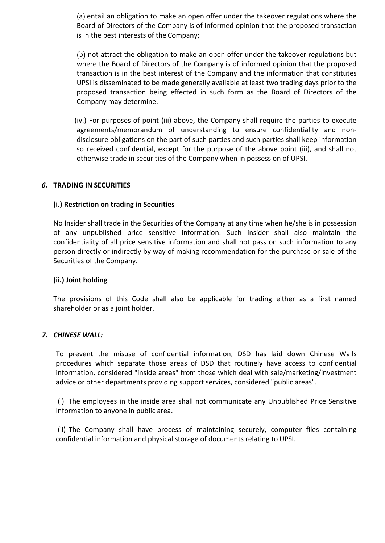(a) entail an obligation to make an open offer under the takeover regulations where the Board of Directors of the Company is of informed opinion that the proposed transaction is in the best interests of the Company;

(b) not attract the obligation to make an open offer under the takeover regulations but where the Board of Directors of the Company is of informed opinion that the proposed transaction is in the best interest of the Company and the information that constitutes UPSI is disseminated to be made generally available at least two trading days prior to the proposed transaction being effected in such form as the Board of Directors of the Company may determine.

(iv.) For purposes of point (iii) above, the Company shall require the parties to execute agreements/memorandum of understanding to ensure confidentiality and nondisclosure obligations on the part of such parties and such parties shall keep information so received confidential, except for the purpose of the above point (iii), and shall not otherwise trade in securities of the Company when in possession of UPSI.

### *6.* **TRADING IN SECURITIES**

### **(i.) Restriction on trading in Securities**

No Insider shall trade in the Securities of the Company at any time when he/she is in possession of any unpublished price sensitive information. Such insider shall also maintain the confidentiality of all price sensitive information and shall not pass on such information to any person directly or indirectly by way of making recommendation for the purchase or sale of the Securities of the Company.

### **(ii.) Joint holding**

The provisions of this Code shall also be applicable for trading either as a first named shareholder or as a joint holder.

### *7. CHINESE WALL:*

To prevent the misuse of confidential information, DSD has laid down Chinese Walls procedures which separate those areas of DSD that routinely have access to confidential information, considered "inside areas" from those which deal with sale/marketing/investment advice or other departments providing support services, considered "public areas".

(i) The employees in the inside area shall not communicate any Unpublished Price Sensitive Information to anyone in public area.

(ii) The Company shall have process of maintaining securely, computer files containing confidential information and physical storage of documents relating to UPSI.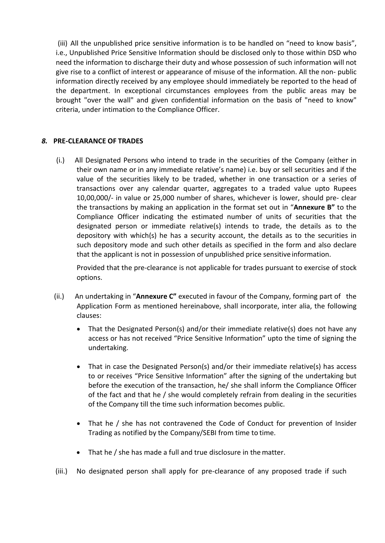(iii) All the unpublished price sensitive information is to be handled on "need to know basis", i.e., Unpublished Price Sensitive Information should be disclosed only to those within DSD who need the information to discharge their duty and whose possession of such information will not give rise to a conflict of interest or appearance of misuse of the information. All the non- public information directly received by any employee should immediately be reported to the head of the department. In exceptional circumstances employees from the public areas may be brought "over the wall" and given confidential information on the basis of "need to know" criteria, under intimation to the Compliance Officer.

### *8.* **PRE-CLEARANCE OF TRADES**

(i.) All Designated Persons who intend to trade in the securities of the Company (either in their own name or in any immediate relative's name) i.e. buy or sell securities and if the value of the securities likely to be traded, whether in one transaction or a series of transactions over any calendar quarter, aggregates to a traded value upto Rupees 10,00,000/- in value or 25,000 number of shares, whichever is lower, should pre- clear the transactions by making an application in the format set out in "**Annexure B"** to the Compliance Officer indicating the estimated number of units of securities that the designated person or immediate relative(s) intends to trade, the details as to the depository with which(s) he has a security account, the details as to the securities in such depository mode and such other details as specified in the form and also declare that the applicant is not in possession of unpublished price sensitive information.

Provided that the pre-clearance is not applicable for trades pursuant to exercise of stock options.

- (ii.) An undertaking in "**Annexure C"** executed in favour of the Company, forming part of the Application Form as mentioned hereinabove, shall incorporate, inter alia, the following clauses:
	- That the Designated Person(s) and/or their immediate relative(s) does not have any access or has not received "Price Sensitive Information" upto the time of signing the undertaking.
	- That in case the Designated Person(s) and/or their immediate relative(s) has access to or receives "Price Sensitive Information" after the signing of the undertaking but before the execution of the transaction, he/ she shall inform the Compliance Officer of the fact and that he / she would completely refrain from dealing in the securities of the Company till the time such information becomes public.
	- That he / she has not contravened the Code of Conduct for prevention of Insider Trading as notified by the Company/SEBI from time to time.
	- That he / she has made a full and true disclosure in thematter.
- (iii.) No designated person shall apply for pre-clearance of any proposed trade if such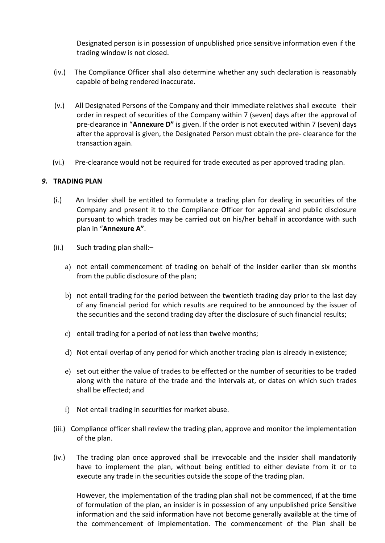Designated person is in possession of unpublished price sensitive information even if the trading window is not closed.

- (iv.) The Compliance Officer shall also determine whether any such declaration is reasonably capable of being rendered inaccurate.
- (v.) All Designated Persons of the Company and their immediate relatives shall execute their order in respect of securities of the Company within 7 (seven) days after the approval of pre-clearance in "**Annexure D"** is given. If the order is not executed within 7 (seven) days after the approval is given, the Designated Person must obtain the pre- clearance for the transaction again.
- (vi.) Pre-clearance would not be required for trade executed as per approved trading plan.

### *9.* **TRADING PLAN**

- (i.) An Insider shall be entitled to formulate a trading plan for dealing in securities of the Company and present it to the Compliance Officer for approval and public disclosure pursuant to which trades may be carried out on his/her behalf in accordance with such plan in "**Annexure A"**.
- (ii.) Such trading plan shall:–
	- a) not entail commencement of trading on behalf of the insider earlier than six months from the public disclosure of the plan;
	- b) not entail trading for the period between the twentieth trading day prior to the last day of any financial period for which results are required to be announced by the issuer of the securities and the second trading day after the disclosure of such financial results;
	- c) entail trading for a period of not less than twelve months;
	- d) Not entail overlap of any period for which another trading plan is already in existence;
	- e) set out either the value of trades to be effected or the number of securities to be traded along with the nature of the trade and the intervals at, or dates on which such trades shall be effected; and
	- f) Not entail trading in securities for market abuse.
- (iii.) Compliance officer shall review the trading plan, approve and monitor the implementation of the plan.
- (iv.) The trading plan once approved shall be irrevocable and the insider shall mandatorily have to implement the plan, without being entitled to either deviate from it or to execute any trade in the securities outside the scope of the trading plan.

However, the implementation of the trading plan shall not be commenced, if at the time of formulation of the plan, an insider is in possession of any unpublished price Sensitive information and the said information have not become generally available at the time of the commencement of implementation. The commencement of the Plan shall be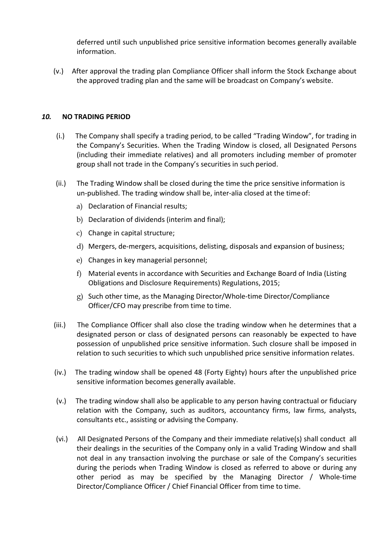deferred until such unpublished price sensitive information becomes generally available information.

(v.) After approval the trading plan Compliance Officer shall inform the Stock Exchange about the approved trading plan and the same will be broadcast on Company's website.

### *10.* **NO TRADING PERIOD**

- (i.) The Company shall specify a trading period, to be called "Trading Window", for trading in the Company's Securities. When the Trading Window is closed, all Designated Persons (including their immediate relatives) and all promoters including member of promoter group shall not trade in the Company's securities in such period.
- (ii.) The Trading Window shall be closed during the time the price sensitive information is un-published. The trading window shall be, inter-alia closed at the timeof:
	- a) Declaration of Financial results;
	- b) Declaration of dividends (interim and final);
	- c) Change in capital structure;
	- d) Mergers, de-mergers, acquisitions, delisting, disposals and expansion of business;
	- e) Changes in key managerial personnel;
	- f) Material events in accordance with Securities and Exchange Board of India (Listing Obligations and Disclosure Requirements) Regulations, 2015;
	- g) Such other time, as the Managing Director/Whole-time Director/Compliance Officer/CFO may prescribe from time to time.
- (iii.) The Compliance Officer shall also close the trading window when he determines that a designated person or class of designated persons can reasonably be expected to have possession of unpublished price sensitive information. Such closure shall be imposed in relation to such securities to which such unpublished price sensitive information relates.
- (iv.) The trading window shall be opened 48 (Forty Eighty) hours after the unpublished price sensitive information becomes generally available.
- (v.) The trading window shall also be applicable to any person having contractual or fiduciary relation with the Company, such as auditors, accountancy firms, law firms, analysts, consultants etc., assisting or advising the Company.
- (vi.) All Designated Persons of the Company and their immediate relative(s) shall conduct all their dealings in the securities of the Company only in a valid Trading Window and shall not deal in any transaction involving the purchase or sale of the Company's securities during the periods when Trading Window is closed as referred to above or during any other period as may be specified by the Managing Director / Whole-time Director/Compliance Officer / Chief Financial Officer from time to time.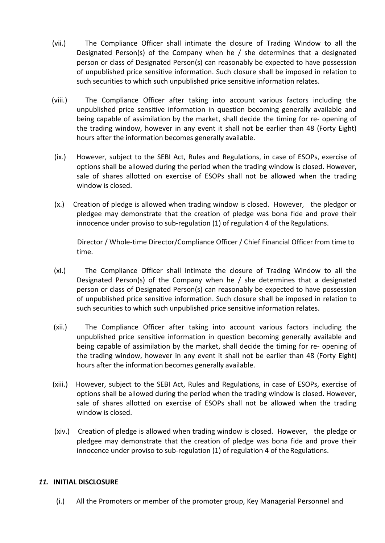- (vii.) The Compliance Officer shall intimate the closure of Trading Window to all the Designated Person(s) of the Company when he / she determines that a designated person or class of Designated Person(s) can reasonably be expected to have possession of unpublished price sensitive information. Such closure shall be imposed in relation to such securities to which such unpublished price sensitive information relates.
- (viii.) The Compliance Officer after taking into account various factors including the unpublished price sensitive information in question becoming generally available and being capable of assimilation by the market, shall decide the timing for re- opening of the trading window, however in any event it shall not be earlier than 48 (Forty Eight) hours after the information becomes generally available.
- (ix.) However, subject to the SEBI Act, Rules and Regulations, in case of ESOPs, exercise of options shall be allowed during the period when the trading window is closed. However, sale of shares allotted on exercise of ESOPs shall not be allowed when the trading window is closed.
- (x.) Creation of pledge is allowed when trading window is closed. However, the pledgor or pledgee may demonstrate that the creation of pledge was bona fide and prove their innocence under proviso to sub-regulation (1) of regulation 4 of the Regulations.

Director / Whole-time Director/Compliance Officer / Chief Financial Officer from time to time.

- (xi.) The Compliance Officer shall intimate the closure of Trading Window to all the Designated Person(s) of the Company when he / she determines that a designated person or class of Designated Person(s) can reasonably be expected to have possession of unpublished price sensitive information. Such closure shall be imposed in relation to such securities to which such unpublished price sensitive information relates.
- (xii.) The Compliance Officer after taking into account various factors including the unpublished price sensitive information in question becoming generally available and being capable of assimilation by the market, shall decide the timing for re- opening of the trading window, however in any event it shall not be earlier than 48 (Forty Eight) hours after the information becomes generally available.
- (xiii.) However, subject to the SEBI Act, Rules and Regulations, in case of ESOPs, exercise of options shall be allowed during the period when the trading window is closed. However, sale of shares allotted on exercise of ESOPs shall not be allowed when the trading window is closed.
- (xiv.) Creation of pledge is allowed when trading window is closed. However, the pledge or pledgee may demonstrate that the creation of pledge was bona fide and prove their innocence under proviso to sub-regulation (1) of regulation 4 of the Regulations.

### *11.* **INITIAL DISCLOSURE**

(i.) All the Promoters or member of the promoter group, Key Managerial Personnel and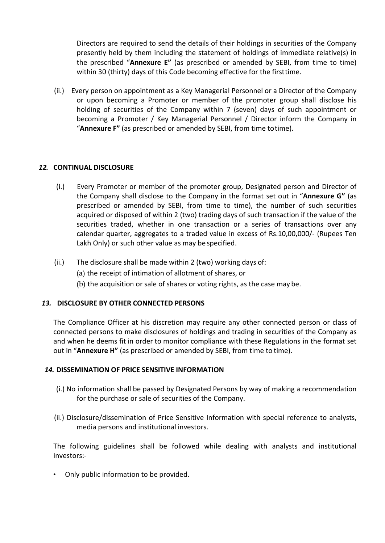Directors are required to send the details of their holdings in securities of the Company presently held by them including the statement of holdings of immediate relative(s) in the prescribed "**Annexure E"** (as prescribed or amended by SEBI, from time to time) within 30 (thirty) days of this Code becoming effective for the firsttime.

(ii.) Every person on appointment as a Key Managerial Personnel or a Director of the Company or upon becoming a Promoter or member of the promoter group shall disclose his holding of securities of the Company within 7 (seven) days of such appointment or becoming a Promoter / Key Managerial Personnel / Director inform the Company in "**Annexure F"** (as prescribed or amended by SEBI, from time totime).

### *12.* **CONTINUAL DISCLOSURE**

- (i.) Every Promoter or member of the promoter group, Designated person and Director of the Company shall disclose to the Company in the format set out in "**Annexure G"** (as prescribed or amended by SEBI, from time to time), the number of such securities acquired or disposed of within 2 (two) trading days of such transaction if the value of the securities traded, whether in one transaction or a series of transactions over any calendar quarter, aggregates to a traded value in excess of Rs.10,00,000/- (Rupees Ten Lakh Only) or such other value as may be specified.
- (ii.) The disclosure shall be made within 2 (two) working days of:
	- (a) the receipt of intimation of allotment of shares, or
	- (b) the acquisition or sale of shares or voting rights, as the case may be.

### *13.* **DISCLOSURE BY OTHER CONNECTED PERSONS**

The Compliance Officer at his discretion may require any other connected person or class of connected persons to make disclosures of holdings and trading in securities of the Company as and when he deems fit in order to monitor compliance with these Regulations in the format set out in "**Annexure H"** (as prescribed or amended by SEBI, from time to time).

### *14.* **DISSEMINATION OF PRICE SENSITIVE INFORMATION**

- (i.) No information shall be passed by Designated Persons by way of making a recommendation for the purchase or sale of securities of the Company.
- (ii.) Disclosure/dissemination of Price Sensitive Information with special reference to analysts, media persons and institutional investors.

The following guidelines shall be followed while dealing with analysts and institutional investors:-

• Only public information to be provided.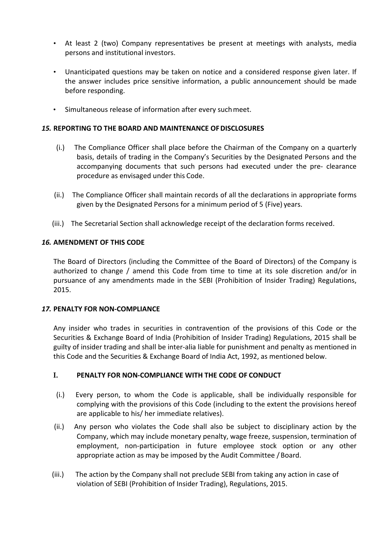- At least 2 (two) Company representatives be present at meetings with analysts, media persons and institutional investors.
- Unanticipated questions may be taken on notice and a considered response given later. If the answer includes price sensitive information, a public announcement should be made before responding.
- Simultaneous release of information after every suchmeet.

### *15.* **REPORTING TO THE BOARD AND MAINTENANCE OFDISCLOSURES**

- (i.) The Compliance Officer shall place before the Chairman of the Company on a quarterly basis, details of trading in the Company's Securities by the Designated Persons and the accompanying documents that such persons had executed under the pre- clearance procedure as envisaged under this Code.
- (ii.) The Compliance Officer shall maintain records of all the declarations in appropriate forms given by the Designated Persons for a minimum period of 5 (Five) years.
- (iii.) The Secretarial Section shall acknowledge receipt of the declaration forms received.

### *16.* **AMENDMENT OF THIS CODE**

The Board of Directors (including the Committee of the Board of Directors) of the Company is authorized to change / amend this Code from time to time at its sole discretion and/or in pursuance of any amendments made in the SEBI (Prohibition of Insider Trading) Regulations, 2015.

### *17.* **PENALTY FOR NON-COMPLIANCE**

Any insider who trades in securities in contravention of the provisions of this Code or the Securities & Exchange Board of India (Prohibition of Insider Trading) Regulations, 2015 shall be guilty of insider trading and shall be inter-alia liable for punishment and penalty as mentioned in this Code and the Securities & Exchange Board of India Act, 1992, as mentioned below.

### **I. PENALTY FOR NON-COMPLIANCE WITH THE CODE OF CONDUCT**

- (i.) Every person, to whom the Code is applicable, shall be individually responsible for complying with the provisions of this Code (including to the extent the provisions hereof are applicable to his/ her immediate relatives).
- (ii.) Any person who violates the Code shall also be subject to disciplinary action by the Company, which may include monetary penalty, wage freeze, suspension, termination of employment, non-participation in future employee stock option or any other appropriate action as may be imposed by the Audit Committee / Board.
- (iii.) The action by the Company shall not preclude SEBI from taking any action in case of violation of SEBI (Prohibition of Insider Trading), Regulations, 2015.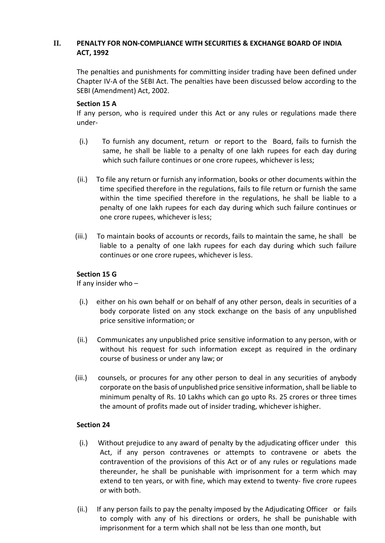### **II. PENALTY FOR NON-COMPLIANCE WITH SECURITIES & EXCHANGE BOARD OF INDIA ACT, 1992**

The penalties and punishments for committing insider trading have been defined under Chapter IV-A of the SEBI Act. The penalties have been discussed below according to the SEBI (Amendment) Act, 2002.

### **Section 15 A**

If any person, who is required under this Act or any rules or regulations made there under-

- (i.) To furnish any document, return or report to the Board, fails to furnish the same, he shall be liable to a penalty of one lakh rupees for each day during which such failure continues or one crore rupees, whichever is less;
- (ii.) To file any return or furnish any information, books or other documents within the time specified therefore in the regulations, fails to file return or furnish the same within the time specified therefore in the regulations, he shall be liable to a penalty of one lakh rupees for each day during which such failure continues or one crore rupees, whichever is less;
- (iii.) To maintain books of accounts or records, fails to maintain the same, he shall be liable to a penalty of one lakh rupees for each day during which such failure continues or one crore rupees, whichever is less.

### **Section 15 G**

If any insider who –

- (i.) either on his own behalf or on behalf of any other person, deals in securities of a body corporate listed on any stock exchange on the basis of any unpublished price sensitive information; or
- (ii.) Communicates any unpublished price sensitive information to any person, with or without his request for such information except as required in the ordinary course of business or under any law; or
- (iii.) counsels, or procures for any other person to deal in any securities of anybody corporate on the basis of unpublished price sensitive information,shall be liable to minimum penalty of Rs. 10 Lakhs which can go upto Rs. 25 crores or three times the amount of profits made out of insider trading, whichever ishigher.

### **Section 24**

- (i.) Without prejudice to any award of penalty by the adjudicating officer under this Act, if any person contravenes or attempts to contravene or abets the contravention of the provisions of this Act or of any rules or regulations made thereunder, he shall be punishable with imprisonment for a term which may extend to ten years, or with fine, which may extend to twenty- five crore rupees or with both.
- (ii.) If any person fails to pay the penalty imposed by the Adjudicating Officer or fails to comply with any of his directions or orders, he shall be punishable with imprisonment for a term which shall not be less than one month, but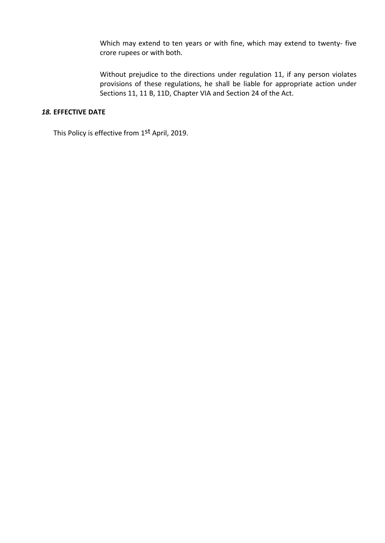Which may extend to ten years or with fine, which may extend to twenty- five crore rupees or with both.

Without prejudice to the directions under regulation 11, if any person violates provisions of these regulations, he shall be liable for appropriate action under Sections 11, 11 B, 11D, Chapter VIA and Section 24 of the Act.

### *18.* **EFFECTIVE DATE**

This Policy is effective from 1<sup>st</sup> April, 2019.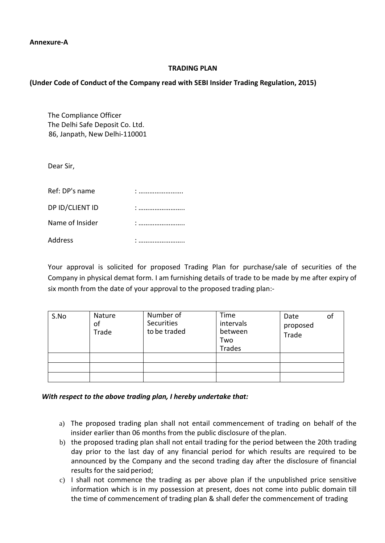**Annexure-A**

### **TRADING PLAN**

### **(Under Code of Conduct of the Company read with SEBI Insider Trading Regulation, 2015)**

The Compliance Officer The Delhi Safe Deposit Co. Ltd. 86, Janpath, New Delhi-110001

Dear Sir,

| Ref: DP's name  |          |
|-----------------|----------|
| DP ID/CLIENT ID |          |
| Name of Insider | $\vdots$ |
| Address         | ٠<br>    |

Your approval is solicited for proposed Trading Plan for purchase/sale of securities of the Company in physical demat form. I am furnishing details of trade to be made by me after expiry of six month from the date of your approval to the proposed trading plan:-

| S.No | Nature<br>of<br>Trade | Number of<br><b>Securities</b><br>to be traded | Time<br>intervals<br>between<br>Two<br>Trades | Date<br>proposed<br>Trade | ΟI |
|------|-----------------------|------------------------------------------------|-----------------------------------------------|---------------------------|----|
|      |                       |                                                |                                               |                           |    |
|      |                       |                                                |                                               |                           |    |
|      |                       |                                                |                                               |                           |    |

*With respect to the above trading plan, I hereby undertake that:*

- a) The proposed trading plan shall not entail commencement of trading on behalf of the insider earlier than 06 months from the public disclosure of theplan.
- b) the proposed trading plan shall not entail trading for the period between the 20th trading day prior to the last day of any financial period for which results are required to be announced by the Company and the second trading day after the disclosure of financial results for the said period;
- c) I shall not commence the trading as per above plan if the unpublished price sensitive information which is in my possession at present, does not come into public domain till the time of commencement of trading plan & shall defer the commencement of trading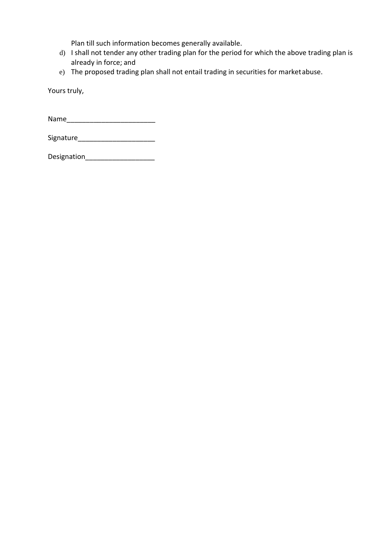Plan till such information becomes generally available.

- d) I shall not tender any other trading plan for the period for which the above trading plan is already in force; and
- e) The proposed trading plan shall not entail trading in securities for marketabuse.

Yours truly,

Name\_\_\_\_\_\_\_\_\_\_\_\_\_\_\_\_\_\_\_\_\_\_\_

Signature\_\_\_\_\_\_\_\_\_\_\_\_\_\_\_\_\_\_\_\_

Designation\_\_\_\_\_\_\_\_\_\_\_\_\_\_\_\_\_\_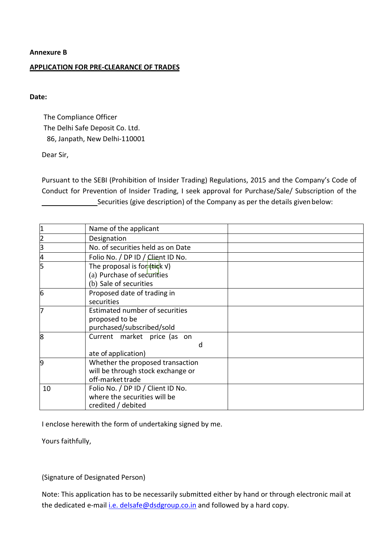### **APPLICATION FOR PRE-CLEARANCE OF TRADES**

### **Date:**

The Compliance Officer The Delhi Safe Deposit Co. Ltd. 86, Janpath, New Delhi-110001

### Dear Sir,

Pursuant to the SEBI (Prohibition of Insider Trading) Regulations, 2015 and the Company's Code of Conduct for Prevention of Insider Trading, I seek approval for Purchase/Sale/ Subscription of the Securities (give description) of the Company as per the details given below:

| 1              | Name of the applicant                                             |  |
|----------------|-------------------------------------------------------------------|--|
| $\overline{c}$ | Designation                                                       |  |
| $\overline{3}$ | No. of securities held as on Date                                 |  |
| 4              | Folio No. / DP ID / Client ID No.                                 |  |
| 5              | The proposal is for $\frac{1}{1 + \frac{1}{1 + \frac{1}{1}}$ (kv) |  |
|                | (a) Purchase of securities                                        |  |
|                | (b) Sale of securities                                            |  |
| l6             | Proposed date of trading in                                       |  |
|                | securities                                                        |  |
| 17             | Estimated number of securities                                    |  |
|                | proposed to be                                                    |  |
|                | purchased/subscribed/sold                                         |  |
| 8              | Current market price (as on                                       |  |
|                | d                                                                 |  |
|                | ate of application)                                               |  |
| 9              | Whether the proposed transaction                                  |  |
|                | will be through stock exchange or                                 |  |
|                | off-market trade                                                  |  |
| 10             | Folio No. / DP ID / Client ID No.                                 |  |
|                | where the securities will be                                      |  |
|                | credited / debited                                                |  |

I enclose herewith the form of undertaking signed by me.

Yours faithfully,

(Signature of Designated Person)

Note: This application has to be necessarily submitted either by hand or through electronic mail at the dedicated e-mail *i.e.* delsafe@dsdgroup.co.in and followed by a hard copy.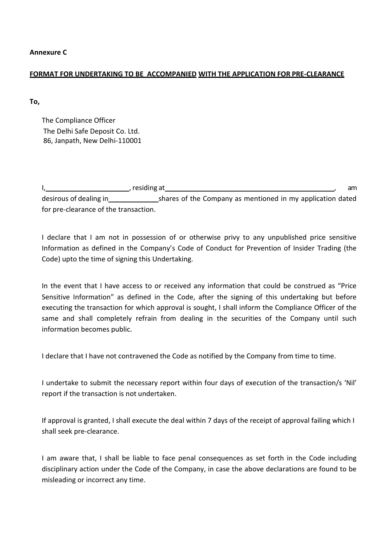**Annexure C**

### **FORMAT FOR UNDERTAKING TO BE ACCOMPANIED WITH THE APPLICATION FOR PRE-CLEARANCE**

**To,**

The Compliance Officer The Delhi Safe Deposit Co. Ltd. 86, Janpath, New Delhi-110001

|                                       | , residing at                                              | am |
|---------------------------------------|------------------------------------------------------------|----|
| desirous of dealing in                | shares of the Company as mentioned in my application dated |    |
| for pre-clearance of the transaction. |                                                            |    |

I declare that I am not in possession of or otherwise privy to any unpublished price sensitive Information as defined in the Company's Code of Conduct for Prevention of Insider Trading (the Code) upto the time of signing this Undertaking.

In the event that I have access to or received any information that could be construed as "Price Sensitive Information" as defined in the Code, after the signing of this undertaking but before executing the transaction for which approval is sought, I shall inform the Compliance Officer of the same and shall completely refrain from dealing in the securities of the Company until such information becomes public.

I declare that I have not contravened the Code as notified by the Company from time to time.

I undertake to submit the necessary report within four days of execution of the transaction/s 'Nil' report if the transaction is not undertaken.

If approval is granted, I shall execute the deal within 7 days of the receipt of approval failing which I shall seek pre-clearance.

I am aware that, I shall be liable to face penal consequences as set forth in the Code including disciplinary action under the Code of the Company, in case the above declarations are found to be misleading or incorrect any time.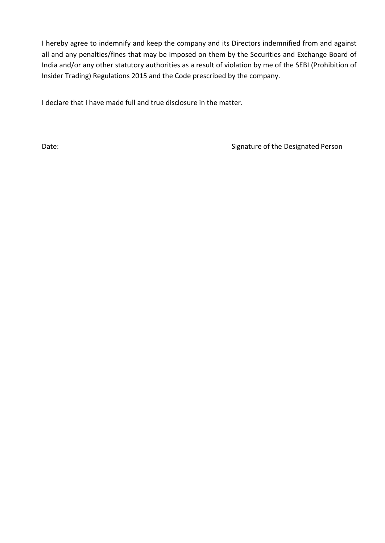I hereby agree to indemnify and keep the company and its Directors indemnified from and against all and any penalties/fines that may be imposed on them by the Securities and Exchange Board of India and/or any other statutory authorities as a result of violation by me of the SEBI (Prohibition of Insider Trading) Regulations 2015 and the Code prescribed by the company.

I declare that I have made full and true disclosure in the matter.

Date: Cases and Cases and Cases and Cases and Cases and Cases and Signature of the Designated Person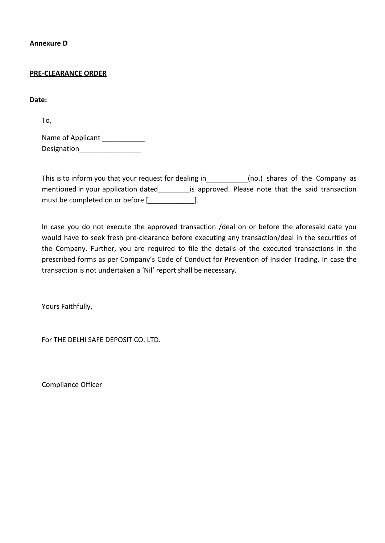**Annexure D**

#### **PRE-CLEARANCE ORDER**

**Date:**

To,

Name of Applicant \_\_\_\_\_\_\_\_\_\_\_\_ Designation

This is to inform you that your request for dealing in (no.) shares of the Company as mentioned in your application dated is approved. Please note that the said transaction must be completed on or before [2000].

In case you do not execute the approved transaction /deal on or before the aforesaid date you would have to seek fresh pre-clearance before executing any transaction/deal in the securities of the Company. Further, you are required to file the details of the executed transactions in the prescribed forms as per Company's Code of Conduct for Prevention of Insider Trading. In case the transaction is not undertaken a 'Nil' report shall be necessary.

Yours Faithfully,

For THE DELHI SAFE DEPOSIT CO. LTD.

Compliance Officer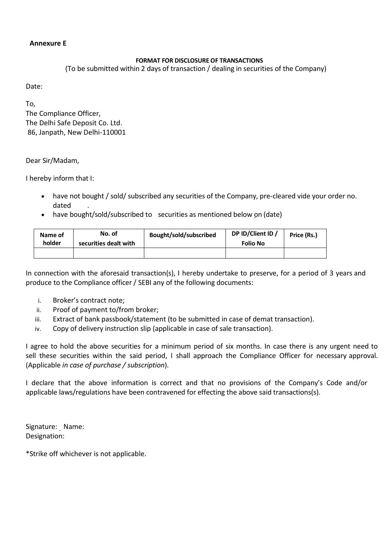### **Annexure E**

### **FORMAT FOR DISCLOSURE OF TRANSACTIONS**

(To be submitted within 2 days of transaction / dealing in securities of the Company)

Date:

To, The Compliance Officer, The Delhi Safe Deposit Co. Ltd. 86, Janpath, New Delhi-110001

Dear Sir/Madam,

I hereby inform that I:

- have not bought / sold/ subscribed any securities of the Company, pre-cleared vide your order no. dated .
- have bought/sold/subscribed to securities as mentioned below on (date)

| Name of<br>holder | No. of<br>securities dealt with | Bought/sold/subscribed | DP ID/Client ID /<br><b>Folio No</b> | Price (Rs.) |
|-------------------|---------------------------------|------------------------|--------------------------------------|-------------|
|                   |                                 |                        |                                      |             |

In connection with the aforesaid transaction(s), I hereby undertake to preserve, for a period of 3 years and produce to the Compliance officer / SEBI any of the following documents:

- i. Broker's contract note;
- ii. Proof of payment to/from broker;
- iii. Extract of bank passbook/statement (to be submitted in case of demat transaction).
- iv. Copy of delivery instruction slip (applicable in case of sale transaction).

I agree to hold the above securities for a minimum period of six months. In case there is any urgent need to sell these securities within the said period, I shall approach the Compliance Officer for necessary approval. (Applicable *in case of purchase / subscription*).

I declare that the above information is correct and that no provisions of the Company's Code and/or applicable laws/regulations have been contravened for effecting the above said transactions(s).

Signature: Name: Designation:

\*Strike off whichever is not applicable.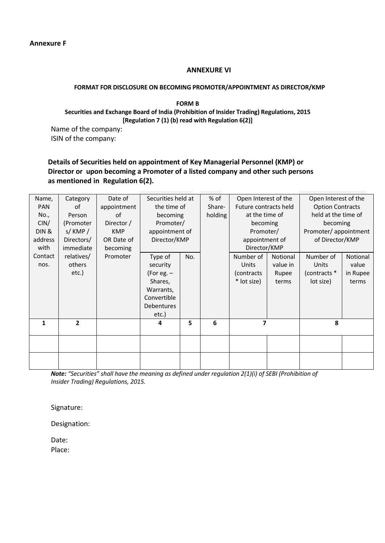### **ANNEXURE VI**

#### **FORMAT FOR DISCLOSURE ON BECOMING PROMOTER/APPOINTMENT AS DIRECTOR/KMP**

**FORM B Securities and Exchange Board of India (Prohibition of Insider Trading) Regulations, 2015 [Regulation 7 (1) (b) read with Regulation 6(2)]**

Name of the company: ISIN of the company:

### **Details of Securities held on appointment of Key Managerial Personnel (KMP) or Director or upon becoming a Promoter of a listed company and other such persons as mentioned in Regulation 6(2).**

| Name,<br><b>PAN</b><br>No.,<br>CIN/ | Category<br>οf<br>Person<br>(Promoter | Date of<br>appointment<br>of<br>Director / | Securities held at<br>the time of<br>becoming<br>Promoter/                                        |     | $%$ of<br>Share-<br>holding | Open Interest of the<br>Future contracts held<br>at the time of<br>becoming |                                        | Open Interest of the<br><b>Option Contracts</b><br>held at the time of<br>becoming<br>Promoter/appointment |                                        |   |  |
|-------------------------------------|---------------------------------------|--------------------------------------------|---------------------------------------------------------------------------------------------------|-----|-----------------------------|-----------------------------------------------------------------------------|----------------------------------------|------------------------------------------------------------------------------------------------------------|----------------------------------------|---|--|
| DIN &<br>address<br>with            | s/KMP/<br>Directors/<br>immediate     | <b>KMP</b><br>OR Date of<br>becoming       | appointment of<br>Director/KMP                                                                    |     |                             | Promoter/<br>appointment of<br>Director/KMP                                 |                                        | of Director/KMP                                                                                            |                                        |   |  |
| Contact<br>nos.                     | relatives/<br>others<br>etc.)         | Promoter                                   | Type of<br>security<br>(For eg. $-$<br>Shares,<br>Warrants,<br>Convertible<br>Debentures<br>etc.) | No. |                             | Number of<br>Units<br>(contracts)<br>* lot size)                            | Notional<br>value in<br>Rupee<br>terms | Number of<br>Units<br>(contracts *<br>lot size)                                                            | Notional<br>value<br>in Rupee<br>terms |   |  |
| 1                                   | $\overline{2}$                        |                                            | 4                                                                                                 | 5   | 6                           | 7                                                                           |                                        |                                                                                                            |                                        | 8 |  |
|                                     |                                       |                                            |                                                                                                   |     |                             |                                                                             |                                        |                                                                                                            |                                        |   |  |
|                                     |                                       |                                            |                                                                                                   |     |                             |                                                                             |                                        |                                                                                                            |                                        |   |  |

*Note: "Securities" shall have the meaning as defined under regulation 2(1)(i) of SEBI (Prohibition of Insider Trading) Regulations, 2015.*

Signature:

Designation:

Date: Place: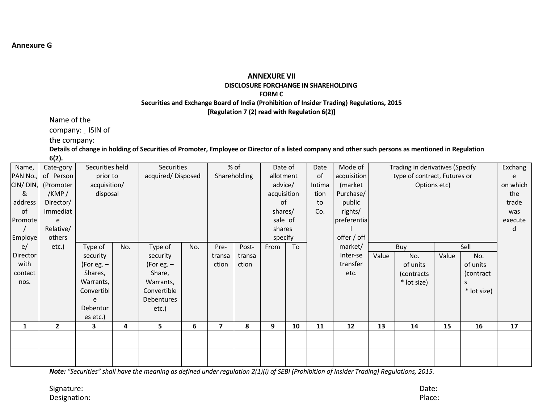#### **ANNEXURE VII DISCLOSURE FORCHANGE IN SHAREHOLDING FORM C**

### **Securities and Exchange Board of India (Prohibition of Insider Trading) Regulations, 2015**

**[Regulation 7 (2) read with Regulation 6(2)]**

Name of the

company: ISIN of

the company:

Details of change in holding of Securities of Promoter, Employee or Director of a listed company and other such persons as mentioned in Regulation **6(2).**

| Name,    | Cate-gory      | Securities held |     | Securities        |     |                          | % of   | Date of     |         | Date | Mode of     | Trading in derivatives (Specify | Exchang     |       |             |         |
|----------|----------------|-----------------|-----|-------------------|-----|--------------------------|--------|-------------|---------|------|-------------|---------------------------------|-------------|-------|-------------|---------|
| PAN No., | of Person      | prior to        |     | acquired/Disposed |     | Shareholding             |        | allotment   |         | of   | acquisition | type of contract, Futures or    |             |       |             |         |
| CIN/DIN, | (Promoter      | acquisition/    |     |                   |     |                          |        |             | advice/ |      | (market     | Options etc)                    |             |       | on which    |         |
| &        | /KMP/          | disposal        |     |                   |     |                          |        | acquisition |         | tion | Purchase/   |                                 |             |       |             | the     |
| address  | Director/      |                 |     |                   |     |                          |        | of          |         | to   | public      |                                 |             |       |             | trade   |
| of       | Immediat       |                 |     |                   |     |                          |        | shares/     |         | Co.  | rights/     |                                 |             |       |             | was     |
| Promote  | e              |                 |     |                   |     |                          |        | sale of     |         |      | preferentia |                                 |             |       |             | execute |
|          | Relative/      |                 |     |                   |     |                          |        | shares      |         |      |             |                                 |             |       |             | d       |
| Employe  | others         |                 |     |                   |     |                          |        | specify     |         |      | offer / off |                                 |             |       |             |         |
| e/       | etc.)          | Type of         | No. | Type of           | No. | Pre-                     | Post-  | From        | To      |      | market/     |                                 | Buy         |       | Sell        |         |
| Director |                | security        |     | security          |     | transa                   | transa |             |         |      | Inter-se    | Value                           | No.         | Value | No.         |         |
| with     |                | (For eg. $-$    |     | (For eg. $-$      |     | ction                    | ction  |             |         |      | transfer    |                                 | of units    |       | of units    |         |
| contact  |                | Shares,         |     | Share,            |     |                          |        |             |         |      | etc.        |                                 | (contracts  |       | (contract   |         |
| nos.     |                | Warrants,       |     | Warrants,         |     |                          |        |             |         |      |             |                                 | * lot size) |       | S           |         |
|          |                | Convertibl      |     | Convertible       |     |                          |        |             |         |      |             |                                 |             |       | * lot size) |         |
|          |                | e               |     | Debentures        |     |                          |        |             |         |      |             |                                 |             |       |             |         |
|          |                | Debentur        |     | etc.)             |     |                          |        |             |         |      |             |                                 |             |       |             |         |
|          |                | es etc.)        |     |                   |     |                          |        |             |         |      |             |                                 |             |       |             |         |
| 1        | $\overline{2}$ | 3               | 4   | 5                 | 6   | $\overline{\phantom{a}}$ | 8      | 9           | 10      | 11   | 12          | 13                              | 14          | 15    | 16          | 17      |
|          |                |                 |     |                   |     |                          |        |             |         |      |             |                                 |             |       |             |         |
|          |                |                 |     |                   |     |                          |        |             |         |      |             |                                 |             |       |             |         |
|          |                |                 |     |                   |     |                          |        |             |         |      |             |                                 |             |       |             |         |
|          |                |                 |     |                   |     |                          |        |             |         |      |             |                                 |             |       |             |         |

Note: "Securities" shall have the meaning as defined under regulation 2(1)(i) of SEBI (Prohibition of Insider Trading) Regulations, 2015.

Signature: Date: Designation: Place: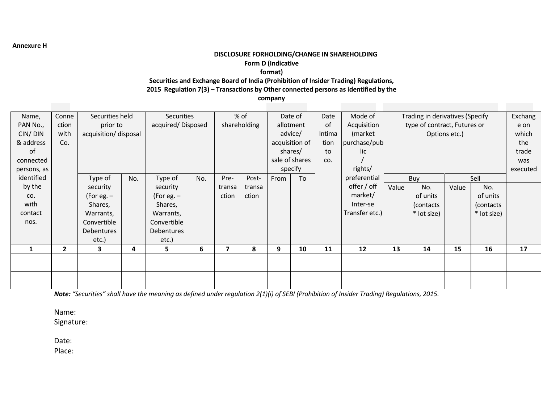**Annexure H**

### **DISCLOSURE FORHOLDING/CHANGE IN SHAREHOLDING**

#### **Form D (Indicative**

**format)**

**Securities and Exchange Board of India (Prohibition of Insider Trading) Regulations,**

**2015 Regulation 7(3) – Transactions by Other connected persons as identified by the**

**company**

| Name,       | Conne        | Securities held       |     |                   | Securities |                          | $%$ of |           | Date of        |        | Mode of        |       | Trading in derivatives (Specify |               |             | Exchang  |
|-------------|--------------|-----------------------|-----|-------------------|------------|--------------------------|--------|-----------|----------------|--------|----------------|-------|---------------------------------|---------------|-------------|----------|
| PAN No.,    | ction        | prior to              |     | acquired/Disposed |            | shareholding             |        | allotment |                | 0f     | Acquisition    |       | type of contract, Futures or    |               |             | e on     |
| CIN/DIN     | with         | acquisition/ disposal |     |                   |            |                          |        |           | advice/        | Intima | (market        |       |                                 | Options etc.) |             | which    |
| & address   | Co.          |                       |     |                   |            |                          |        |           | acquisition of | tion   | purchase/pub   |       |                                 |               |             | the      |
| of          |              |                       |     |                   |            |                          |        |           | shares/        | to     | lic            |       |                                 |               |             | trade    |
| connected   |              |                       |     |                   |            |                          |        |           | sale of shares | CO.    |                |       |                                 |               |             | was      |
| persons, as |              |                       |     |                   |            |                          |        |           | specify        |        | rights/        |       |                                 |               |             | executed |
| identified  |              | Type of               | No. | Type of           | No.        | Pre-                     | Post-  | From      | To             |        | preferential   |       | Buy                             |               | Sell        |          |
| by the      |              | security              |     | security          |            | transa                   | transa |           |                |        | offer / off    | Value | No.                             | Value         | No.         |          |
| CO.         |              | (For eg. $-$          |     | (For eg. $-$      |            | ction                    | ction  |           |                |        | market/        |       | of units                        |               | of units    |          |
| with        |              | Shares,               |     | Shares,           |            |                          |        |           |                |        | Inter-se       |       | (contacts)                      |               | (contacts)  |          |
| contact     |              | Warrants,             |     | Warrants,         |            |                          |        |           |                |        | Transfer etc.) |       | * lot size)                     |               | * lot size) |          |
| nos.        |              | Convertible           |     | Convertible       |            |                          |        |           |                |        |                |       |                                 |               |             |          |
|             |              | Debentures            |     | Debentures        |            |                          |        |           |                |        |                |       |                                 |               |             |          |
|             |              | etc.)                 |     | $etc.$ )          |            |                          |        |           |                |        |                |       |                                 |               |             |          |
| 1           | $\mathbf{2}$ | 3                     | 4   | 5.                | 6          | $\overline{\phantom{a}}$ | 8      | 9         | 10             | 11     | 12             | 13    | 14                              | 15            | 16          | 17       |
|             |              |                       |     |                   |            |                          |        |           |                |        |                |       |                                 |               |             |          |
|             |              |                       |     |                   |            |                          |        |           |                |        |                |       |                                 |               |             |          |
|             |              |                       |     |                   |            |                          |        |           |                |        |                |       |                                 |               |             |          |
|             |              |                       |     |                   |            |                          |        |           |                |        |                |       |                                 |               |             |          |

Note: "Securities" shall have the meaning as defined under regulation 2(1)(i) of SEBI (Prohibition of Insider Trading) Regulations, 2015.

Name:

Signature:

Date:

Place: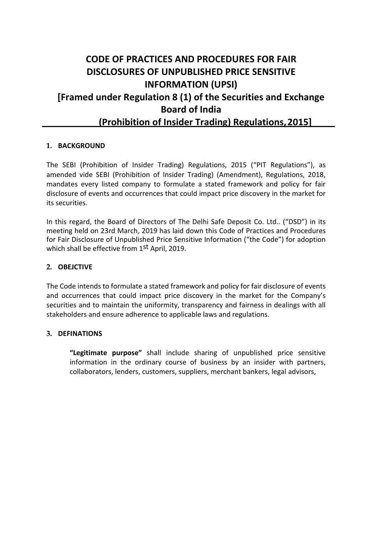# **CODE OF PRACTICES AND PROCEDURES FOR FAIR DISCLOSURES OF UNPUBLISHED PRICE SENSITIVE INFORMATION (UPSI) [Framed under Regulation 8 (1) of the Securities and Exchange Board of India (Prohibition of Insider Trading) Regulations,2015]**

### **1. BACKGROUND**

The SEBI (Prohibition of Insider Trading) Regulations, 2015 ("PIT Regulations"), as amended vide SEBI (Prohibition of Insider Trading) (Amendment), Regulations, 2018, mandates every listed company to formulate a stated framework and policy for fair disclosure of events and occurrences that could impact price discovery in the market for its securities.

In this regard, the Board of Directors of The Delhi Safe Deposit Co. Ltd.. ("DSD") in its meeting held on 23rd March, 2019 has laid down this Code of Practices and Procedures for Fair Disclosure of Unpublished Price Sensitive Information ("the Code") for adoption which shall be effective from 1<sup>st</sup> April, 2019.

### **2. OBEJCTIVE**

The Code intends to formulate a stated framework and policy for fair disclosure of events and occurrences that could impact price discovery in the market for the Company's securities and to maintain the uniformity, transparency and fairness in dealings with all stakeholders and ensure adherence to applicable laws and regulations.

### **3. DEFINATIONS**

**"Legitimate purpose"** shall include sharing of unpublished price sensitive information in the ordinary course of business by an insider with partners, collaborators, lenders, customers, suppliers, merchant bankers, legal advisors,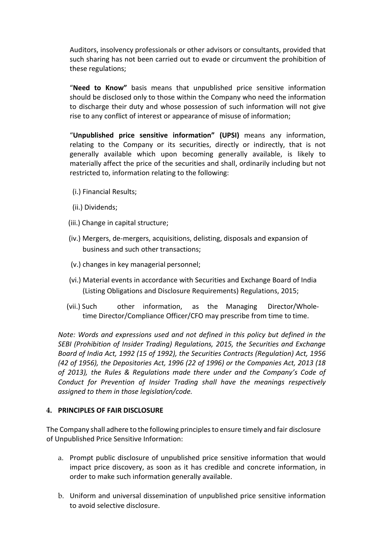Auditors, insolvency professionals or other advisors or consultants, provided that such sharing has not been carried out to evade or circumvent the prohibition of these regulations;

"**Need to Know"** basis means that unpublished price sensitive information should be disclosed only to those within the Company who need the information to discharge their duty and whose possession of such information will not give rise to any conflict of interest or appearance of misuse of information;

"**Unpublished price sensitive information" (UPSI)** means any information, relating to the Company or its securities, directly or indirectly, that is not generally available which upon becoming generally available, is likely to materially affect the price of the securities and shall, ordinarily including but not restricted to, information relating to the following:

- (i.) Financial Results;
- (ii.) Dividends;
- (iii.) Change in capital structure;
- (iv.) Mergers, de-mergers, acquisitions, delisting, disposals and expansion of business and such other transactions;
- (v.) changes in key managerial personnel;
- (vi.) Material events in accordance with Securities and Exchange Board of India (Listing Obligations and Disclosure Requirements) Regulations, 2015;
- (vii.) Such other information, as the Managing Director/Wholetime Director/Compliance Officer/CFO may prescribe from time to time.

*Note: Words and expressions used and not defined in this policy but defined in the SEBI (Prohibition of Insider Trading) Regulations, 2015, the Securities and Exchange Board of India Act, 1992 (15 of 1992), the Securities Contracts (Regulation) Act, 1956 (42 of 1956), the Depositories Act, 1996 (22 of 1996) or the Companies Act, 2013 (18 of 2013), the Rules & Regulations made there under and the Company's Code of Conduct for Prevention of Insider Trading shall have the meanings respectively assigned to them in those legislation/code.*

### **4. PRINCIPLES OF FAIR DISCLOSURE**

The Company shall adhere to the following principlesto ensure timely and fair disclosure of Unpublished Price Sensitive Information:

- a. Prompt public disclosure of unpublished price sensitive information that would impact price discovery, as soon as it has credible and concrete information, in order to make such information generally available.
- b. Uniform and universal dissemination of unpublished price sensitive information to avoid selective disclosure.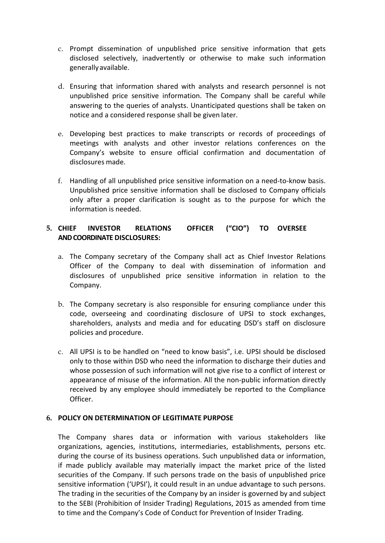- c. Prompt dissemination of unpublished price sensitive information that gets disclosed selectively, inadvertently or otherwise to make such information generally available.
- d. Ensuring that information shared with analysts and research personnel is not unpublished price sensitive information. The Company shall be careful while answering to the queries of analysts. Unanticipated questions shall be taken on notice and a considered response shall be given later.
- e. Developing best practices to make transcripts or records of proceedings of meetings with analysts and other investor relations conferences on the Company's website to ensure official confirmation and documentation of disclosures made.
- f. Handling of all unpublished price sensitive information on a need-to-know basis. Unpublished price sensitive information shall be disclosed to Company officials only after a proper clarification is sought as to the purpose for which the information is needed.

### **5. CHIEF INVESTOR RELATIONS OFFICER ("CIO") TO OVERSEE AND COORDINATE DISCLOSURES:**

- a. The Company secretary of the Company shall act as Chief Investor Relations Officer of the Company to deal with dissemination of information and disclosures of unpublished price sensitive information in relation to the Company.
- b. The Company secretary is also responsible for ensuring compliance under this code, overseeing and coordinating disclosure of UPSI to stock exchanges, shareholders, analysts and media and for educating DSD's staff on disclosure policies and procedure.
- c. All UPSI is to be handled on "need to know basis", i.e. UPSI should be disclosed only to those within DSD who need the information to discharge their duties and whose possession of such information will not give rise to a conflict of interest or appearance of misuse of the information. All the non-public information directly received by any employee should immediately be reported to the Compliance Officer.

### **6. POLICY ON DETERMINATION OF LEGITIMATE PURPOSE**

The Company shares data or information with various stakeholders like organizations, agencies, institutions, intermediaries, establishments, persons etc. during the course of its business operations. Such unpublished data or information, if made publicly available may materially impact the market price of the listed securities of the Company. If such persons trade on the basis of unpublished price sensitive information ('UPSI'), it could result in an undue advantage to such persons. The trading in the securities of the Company by an insider is governed by and subject to the SEBI (Prohibition of Insider Trading) Regulations, 2015 as amended from time to time and the Company's Code of Conduct for Prevention of Insider Trading.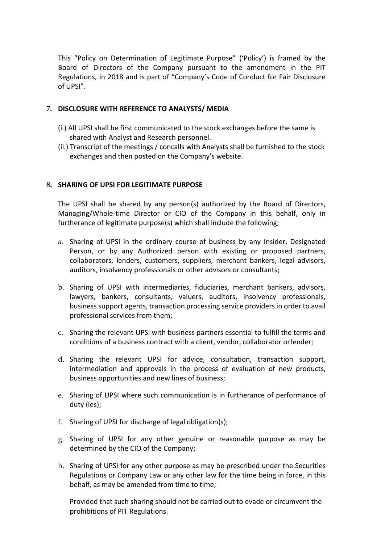This "Policy on Determination of Legitimate Purpose" ('Policy') is framed by the Board of Directors of the Company pursuant to the amendment in the PIT Regulations, in 2018 and is part of "Company's Code of Conduct for Fair Disclosure of UPSI".

### **7. DISCLOSURE WITH REFERENCE TO ANALYSTS/ MEDIA**

- (i.) All UPSI shall be first communicated to the stock exchanges before the same is shared with Analyst and Research personnel.
- (ii.) Transcript of the meetings / concalls with Analysts shall be furnished to the stock exchanges and then posted on the Company's website.

### **8. SHARING OF UPSI FOR LEGITIMATE PURPOSE**

The UPSI shall be shared by any person(s) authorized by the Board of Directors, Managing/Whole-time Director or CIO of the Company in this behalf, only in furtherance of legitimate purpose(s) which shall include the following;

- a. Sharing of UPSI in the ordinary course of business by any Insider, Designated Person, or by any Authorized person with existing or proposed partners, collaborators, lenders, customers, suppliers, merchant bankers, legal advisors, auditors, insolvency professionals or other advisors or consultants;
- b. Sharing of UPSI with intermediaries, fiduciaries, merchant bankers, advisors, lawyers, bankers, consultants, valuers, auditors, insolvency professionals, business support agents, transaction processing service providers in order to avail professional services from them;
- c. Sharing the relevant UPSI with business partners essential to fulfill the terms and conditions of a business contract with a client, vendor, collaborator orlender;
- d. Sharing the relevant UPSI for advice, consultation, transaction support, intermediation and approvals in the process of evaluation of new products, business opportunities and new lines of business;
- e. Sharing of UPSI where such communication is in furtherance of performance of duty (ies);
- f. Sharing of UPSI for discharge of legal obligation(s);
- g. Sharing of UPSI for any other genuine or reasonable purpose as may be determined by the CIO of the Company;
- h. Sharing of UPSI for any other purpose as may be prescribed under the Securities Regulations or Company Law or any other law for the time being in force, in this behalf, as may be amended from time to time;

Provided that such sharing should not be carried out to evade or circumvent the prohibitions of PIT Regulations.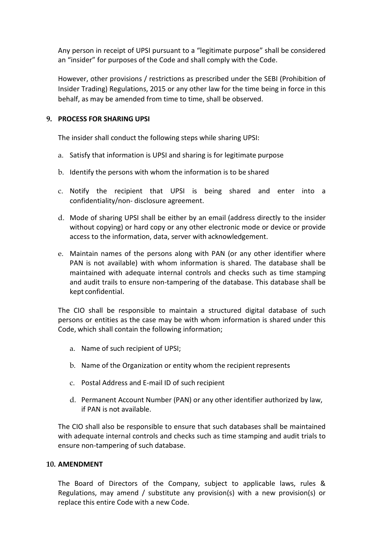Any person in receipt of UPSI pursuant to a "legitimate purpose" shall be considered an "insider" for purposes of the Code and shall comply with the Code.

However, other provisions / restrictions as prescribed under the SEBI (Prohibition of Insider Trading) Regulations, 2015 or any other law for the time being in force in this behalf, as may be amended from time to time, shall be observed.

### **9. PROCESS FOR SHARING UPSI**

The insider shall conduct the following steps while sharing UPSI:

- a. Satisfy that information is UPSI and sharing is for legitimate purpose
- b. Identify the persons with whom the information is to be shared
- c. Notify the recipient that UPSI is being shared and enter into a confidentiality/non- disclosure agreement.
- d. Mode of sharing UPSI shall be either by an email (address directly to the insider without copying) or hard copy or any other electronic mode or device or provide access to the information, data, server with acknowledgement.
- e. Maintain names of the persons along with PAN (or any other identifier where PAN is not available) with whom information is shared. The database shall be maintained with adequate internal controls and checks such as time stamping and audit trails to ensure non-tampering of the database. This database shall be kept confidential.

The CIO shall be responsible to maintain a structured digital database of such persons or entities as the case may be with whom information is shared under this Code, which shall contain the following information;

- a. Name of such recipient of UPSI;
- b. Name of the Organization or entity whom the recipient represents
- c. Postal Address and E-mail ID of such recipient
- d. Permanent Account Number (PAN) or any other identifier authorized by law, if PAN is not available.

The CIO shall also be responsible to ensure that such databases shall be maintained with adequate internal controls and checks such as time stamping and audit trials to ensure non-tampering of such database.

### **10. AMENDMENT**

The Board of Directors of the Company, subject to applicable laws, rules & Regulations, may amend / substitute any provision(s) with a new provision(s) or replace this entire Code with a new Code.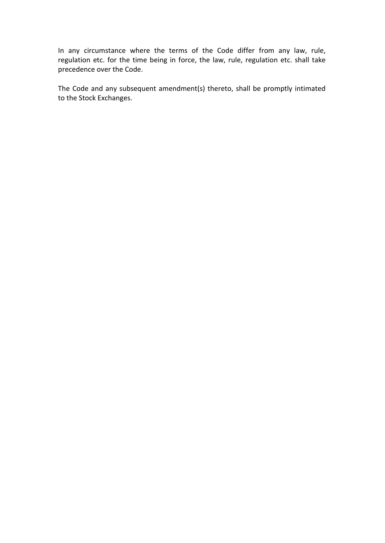In any circumstance where the terms of the Code differ from any law, rule, regulation etc. for the time being in force, the law, rule, regulation etc. shall take precedence over the Code.

The Code and any subsequent amendment(s) thereto, shall be promptly intimated to the Stock Exchanges.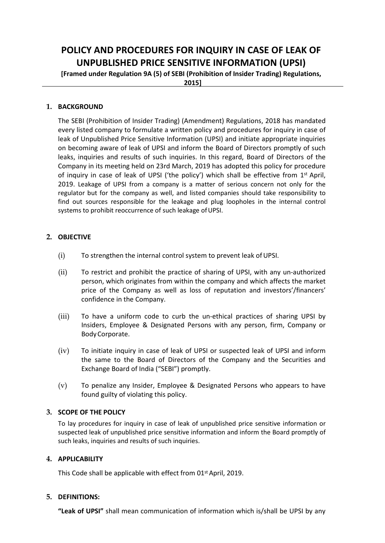# **POLICY AND PROCEDURES FOR INQUIRY IN CASE OF LEAK OF UNPUBLISHED PRICE SENSITIVE INFORMATION (UPSI)**

**[Framed under Regulation 9A (5) of SEBI (Prohibition of Insider Trading) Regulations,**

**2015]**

### **1. BACKGROUND**

The SEBI (Prohibition of Insider Trading) (Amendment) Regulations, 2018 has mandated every listed company to formulate a written policy and procedures for inquiry in case of leak of Unpublished Price Sensitive Information (UPSI) and initiate appropriate inquiries on becoming aware of leak of UPSI and inform the Board of Directors promptly of such leaks, inquiries and results of such inquiries. In this regard, Board of Directors of the Company in its meeting held on 23rd March, 2019 has adopted this policy for procedure of inquiry in case of leak of UPSI ('the policy') which shall be effective from  $1<sup>st</sup>$  April, 2019. Leakage of UPSI from a company is a matter of serious concern not only for the regulator but for the company as well, and listed companies should take responsibility to find out sources responsible for the leakage and plug loopholes in the internal control systems to prohibit reoccurrence of such leakage of UPSI.

### **2. OBJECTIVE**

- (i) To strengthen the internal control system to prevent leak of UPSI.
- (ii) To restrict and prohibit the practice of sharing of UPSI, with any un-authorized person, which originates from within the company and which affects the market price of the Company as well as loss of reputation and investors'/financers' confidence in the Company.
- (iii) To have a uniform code to curb the un-ethical practices of sharing UPSI by Insiders, Employee & Designated Persons with any person, firm, Company or BodyCorporate.
- (iv) To initiate inquiry in case of leak of UPSI or suspected leak of UPSI and inform the same to the Board of Directors of the Company and the Securities and Exchange Board of India ("SEBI") promptly.
- (v) To penalize any Insider, Employee & Designated Persons who appears to have found guilty of violating this policy.

#### **3. SCOPE OF THE POLICY**

To lay procedures for inquiry in case of leak of unpublished price sensitive information or suspected leak of unpublished price sensitive information and inform the Board promptly of such leaks, inquiries and results of such inquiries.

#### **4. APPLICABILITY**

This Code shall be applicable with effect from 01<sup>st</sup> April, 2019.

### **5. DEFINITIONS:**

**"Leak of UPSI"** shall mean communication of information which is/shall be UPSI by any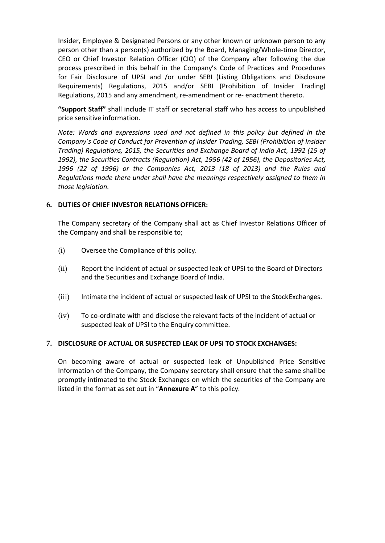Insider, Employee & Designated Persons or any other known or unknown person to any person other than a person(s) authorized by the Board, Managing/Whole-time Director, CEO or Chief Investor Relation Officer (CIO) of the Company after following the due process prescribed in this behalf in the Company's Code of Practices and Procedures for Fair Disclosure of UPSI and /or under SEBI (Listing Obligations and Disclosure Requirements) Regulations, 2015 and/or SEBI (Prohibition of Insider Trading) Regulations, 2015 and any amendment, re-amendment or re- enactment thereto.

**"Support Staff"** shall include IT staff or secretarial staff who has access to unpublished price sensitive information.

*Note: Words and expressions used and not defined in this policy but defined in the Company's Code of Conduct for Prevention of Insider Trading, SEBI (Prohibition of Insider Trading) Regulations, 2015, the Securities and Exchange Board of India Act, 1992 (15 of 1992), the Securities Contracts (Regulation) Act, 1956 (42 of 1956), the Depositories Act, 1996 (22 of 1996) or the Companies Act, 2013 (18 of 2013) and the Rules and Regulations made there under shall have the meanings respectively assigned to them in those legislation.*

### **6. DUTIES OF CHIEF INVESTOR RELATIONS OFFICER:**

The Company secretary of the Company shall act as Chief Investor Relations Officer of the Company and shall be responsible to;

- (i) Oversee the Compliance of this policy.
- (ii) Report the incident of actual or suspected leak of UPSI to the Board of Directors and the Securities and Exchange Board of India.
- (iii) Intimate the incident of actual or suspected leak of UPSI to the StockExchanges.
- (iv) To co-ordinate with and disclose the relevant facts of the incident of actual or suspected leak of UPSI to the Enquiry committee.

#### **7. DISCLOSURE OF ACTUAL OR SUSPECTED LEAK OF UPSI TO STOCK EXCHANGES:**

On becoming aware of actual or suspected leak of Unpublished Price Sensitive Information of the Company, the Company secretary shall ensure that the same shall be promptly intimated to the Stock Exchanges on which the securities of the Company are listed in the format as set out in "**Annexure A**" to this policy.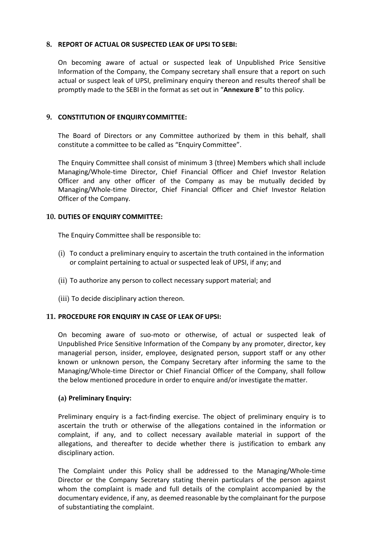#### **8. REPORT OF ACTUAL OR SUSPECTED LEAK OF UPSI TO SEBI:**

On becoming aware of actual or suspected leak of Unpublished Price Sensitive Information of the Company, the Company secretary shall ensure that a report on such actual or suspect leak of UPSI, preliminary enquiry thereon and results thereof shall be promptly made to the SEBI in the format as set out in "**Annexure B**" to this policy.

### **9. CONSTITUTION OF ENQUIRY COMMITTEE:**

The Board of Directors or any Committee authorized by them in this behalf, shall constitute a committee to be called as "Enquiry Committee".

The Enquiry Committee shall consist of minimum 3 (three) Members which shall include Managing/Whole-time Director, Chief Financial Officer and Chief Investor Relation Officer and any other officer of the Company as may be mutually decided by Managing/Whole-time Director, Chief Financial Officer and Chief Investor Relation Officer of the Company.

#### **10. DUTIES OF ENQUIRY COMMITTEE:**

The Enquiry Committee shall be responsible to:

- (i) To conduct a preliminary enquiry to ascertain the truth contained in the information or complaint pertaining to actual or suspected leak of UPSI, if any; and
- (ii) To authorize any person to collect necessary support material; and
- (iii) To decide disciplinary action thereon.

#### **11. PROCEDURE FOR ENQUIRY IN CASE OF LEAK OF UPSI:**

On becoming aware of suo-moto or otherwise, of actual or suspected leak of Unpublished Price Sensitive Information of the Company by any promoter, director, key managerial person, insider, employee, designated person, support staff or any other known or unknown person, the Company Secretary after informing the same to the Managing/Whole-time Director or Chief Financial Officer of the Company, shall follow the below mentioned procedure in order to enquire and/or investigate thematter.

#### **(a) Preliminary Enquiry:**

Preliminary enquiry is a fact-finding exercise. The object of preliminary enquiry is to ascertain the truth or otherwise of the allegations contained in the information or complaint, if any, and to collect necessary available material in support of the allegations, and thereafter to decide whether there is justification to embark any disciplinary action.

The Complaint under this Policy shall be addressed to the Managing/Whole-time Director or the Company Secretary stating therein particulars of the person against whom the complaint is made and full details of the complaint accompanied by the documentary evidence, if any, as deemed reasonable by the complainant for the purpose of substantiating the complaint.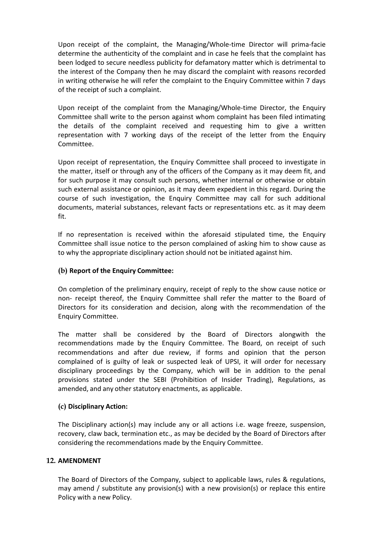Upon receipt of the complaint, the Managing/Whole-time Director will prima-facie determine the authenticity of the complaint and in case he feels that the complaint has been lodged to secure needless publicity for defamatory matter which is detrimental to the interest of the Company then he may discard the complaint with reasons recorded in writing otherwise he will refer the complaint to the Enquiry Committee within 7 days of the receipt of such a complaint.

Upon receipt of the complaint from the Managing/Whole-time Director, the Enquiry Committee shall write to the person against whom complaint has been filed intimating the details of the complaint received and requesting him to give a written representation with 7 working days of the receipt of the letter from the Enquiry Committee.

Upon receipt of representation, the Enquiry Committee shall proceed to investigate in the matter, itself or through any of the officers of the Company as it may deem fit, and for such purpose it may consult such persons, whether internal or otherwise or obtain such external assistance or opinion, as it may deem expedient in this regard. During the course of such investigation, the Enquiry Committee may call for such additional documents, material substances, relevant facts or representations etc. as it may deem fit.

If no representation is received within the aforesaid stipulated time, the Enquiry Committee shall issue notice to the person complained of asking him to show cause as to why the appropriate disciplinary action should not be initiated against him.

### **(b) Report of the Enquiry Committee:**

On completion of the preliminary enquiry, receipt of reply to the show cause notice or non- receipt thereof, the Enquiry Committee shall refer the matter to the Board of Directors for its consideration and decision, along with the recommendation of the Enquiry Committee.

The matter shall be considered by the Board of Directors alongwith the recommendations made by the Enquiry Committee. The Board, on receipt of such recommendations and after due review, if forms and opinion that the person complained of is guilty of leak or suspected leak of UPSI, it will order for necessary disciplinary proceedings by the Company, which will be in addition to the penal provisions stated under the SEBI (Prohibition of Insider Trading), Regulations, as amended, and any other statutory enactments, as applicable.

### **(c) Disciplinary Action:**

The Disciplinary action(s) may include any or all actions i.e. wage freeze, suspension, recovery, claw back, termination etc., as may be decided by the Board of Directors after considering the recommendations made by the Enquiry Committee.

### **12. AMENDMENT**

The Board of Directors of the Company, subject to applicable laws, rules & regulations, may amend / substitute any provision(s) with a new provision(s) or replace this entire Policy with a new Policy.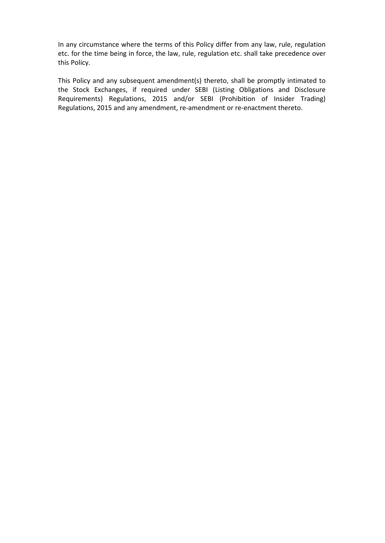In any circumstance where the terms of this Policy differ from any law, rule, regulation etc. for the time being in force, the law, rule, regulation etc. shall take precedence over this Policy.

This Policy and any subsequent amendment(s) thereto, shall be promptly intimated to the Stock Exchanges, if required under SEBI (Listing Obligations and Disclosure Requirements) Regulations, 2015 and/or SEBI (Prohibition of Insider Trading) Regulations, 2015 and any amendment, re-amendment or re-enactment thereto.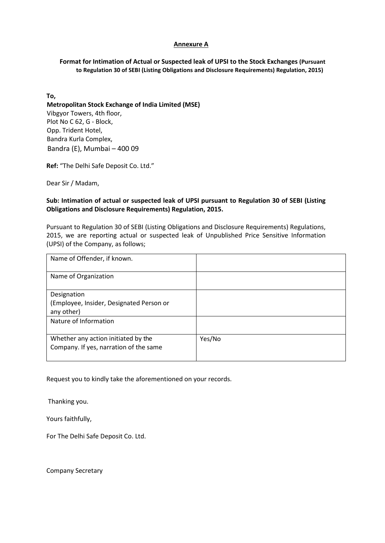#### **Annexure A**

#### **Format for Intimation of Actual or Suspected leak of UPSI to the Stock Exchanges (Pursuant to Regulation 30 of SEBI (Listing Obligations and Disclosure Requirements) Regulation, 2015)**

**To,**

 **Metropolitan Stock Exchange of India Limited (MSE)** Vibgyor Towers, 4th floor, Plot No C 62, G - Block, Opp. Trident Hotel, Bandra Kurla Complex, Bandra (E), Mumbai – 400 09

**Ref:** "The Delhi Safe Deposit Co. Ltd."

Dear Sir / Madam,

#### **Sub: Intimation of actual or suspected leak of UPSI pursuant to Regulation 30 of SEBI (Listing Obligations and Disclosure Requirements) Regulation, 2015.**

Pursuant to Regulation 30 of SEBI (Listing Obligations and Disclosure Requirements) Regulations, 2015, we are reporting actual or suspected leak of Unpublished Price Sensitive Information (UPSI) of the Company, as follows;

| Name of Offender, if known.                                                   |        |
|-------------------------------------------------------------------------------|--------|
| Name of Organization                                                          |        |
| Designation<br>(Employee, Insider, Designated Person or<br>any other)         |        |
| Nature of Information                                                         |        |
| Whether any action initiated by the<br>Company. If yes, narration of the same | Yes/No |

Request you to kindly take the aforementioned on your records.

Thanking you.

Yours faithfully,

For The Delhi Safe Deposit Co. Ltd.

Company Secretary